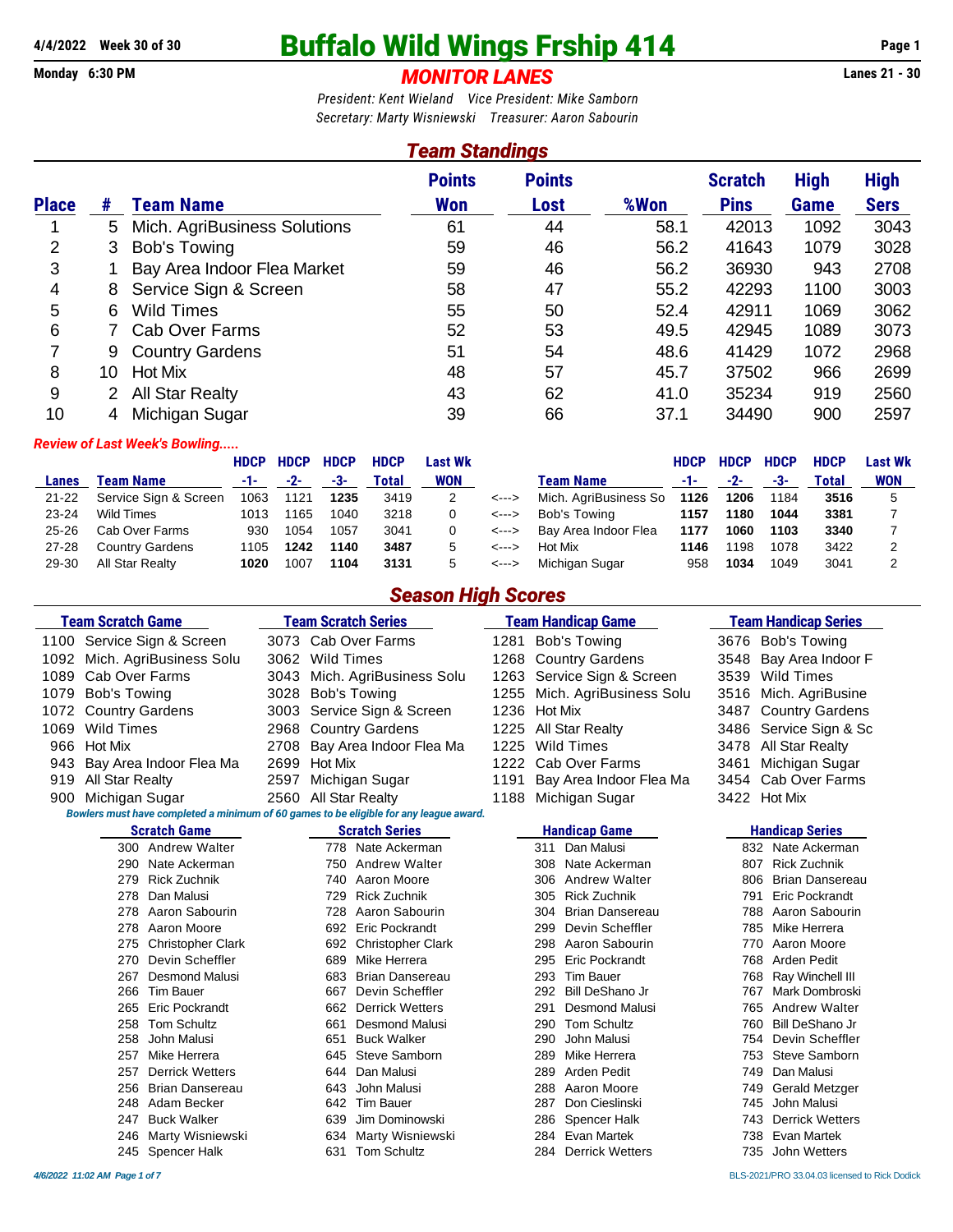#### **Monday 6:30 PM** *MONITOR LANES* **Lanes 21 - 30**

# **4/4/2022 Week 30 of 30 Buffalo Wild Wings Frship 414 Page 1**

*President: Kent Wieland Vice President: Mike Samborn Secretary: Marty Wisniewski Treasurer: Aaron Sabourin*

#### *Team Standings* **Points Points Scratch High High Place # Team Name Won Lost %Won Pins Game Sers** 5 Mich. AgriBusiness Solutions 61 44 58.1 42013 1092 3043 3 Bob's Towing 59 46 56.2 41643 1079 3028 1 Bay Area Indoor Flea Market 59 46 56.2 36930 943 2708 8 Service Sign & Screen 58 47 55.2 42293 1100 3003 6 Wild Times 55 50 52.4 42911 1069 3062 7 Cab Over Farms 52 53 49.5 42945 1089 3073 9 Country Gardens 51 54 48.6 41429 1072 2968 10 Hot Mix 48 57 45.7 37502 966 2699 2 All Star Realty 43 62 41.0 35234 919 2560 4 Michigan Sugar 39 66 37.1 34490 900 2597

#### *Review of Last Week's Bowling.....*

|           |                        | <b>HDCP</b> | <b>HDCP</b> | <b>HDCP</b> | <b>HDCP</b> | <b>Last Wk</b> |       |                       | <b>HDCP</b> | <b>HDCP</b> | <b>HDCP</b> | <b>HDCP</b> | Last Wk    |
|-----------|------------------------|-------------|-------------|-------------|-------------|----------------|-------|-----------------------|-------------|-------------|-------------|-------------|------------|
| Lanes     | Team Name              | -1-1        | $-2-$       | -3-         | Total       | <b>WON</b>     |       | <b>Team Name</b>      | -1-         | $-2-$       | -3-         | Total       | <b>WON</b> |
| $21 - 22$ | Service Sign & Screen  | 1063        | 1121        | 1235        | 3419        |                | <---> | Mich. AgriBusiness So | 1126        | 1206        | 1184        | 3516        |            |
| $23 - 24$ | <b>Wild Times</b>      | 1013        | 165         | 1040        | 3218        |                | <---> | Bob's Towing          | 1157        | 1180        | 1044        | 3381        |            |
| $25 - 26$ | Cab Over Farms         | 930         | 1054        | 1057        | 3041        |                | <---> | Bay Area Indoor Flea  | 1177        | 1060        | 1103        | 3340        |            |
| $27 - 28$ | <b>Country Gardens</b> | 1105        | 1242        | 1140        | 3487        | 5              | <---> | Hot Mix               | 1146        | 1198        | 1078        | 3422        |            |
| 29-30     | All Star Realty        | 1020        | 1007        | 1104        | 3131        | 5              | <---> | Michigan Sugar        | 958         | 1034        | 1049        | 3041        |            |

#### *Season High Scores*

|      | <b>Team Scratch Game</b>                                                               | <b>Team Scratch Series</b> |                          |      | <b>Team Handicap Game</b>     |              | <b>Team Handicap Series</b> |
|------|----------------------------------------------------------------------------------------|----------------------------|--------------------------|------|-------------------------------|--------------|-----------------------------|
|      | 1100 Service Sign & Screen                                                             | 3073                       | Cab Over Farms           | 1281 | <b>Bob's Towing</b>           |              | 3676 Bob's Towing           |
| 1092 | Mich. AgriBusiness Solu                                                                | <b>Wild Times</b><br>3062  |                          | 1268 | <b>Country Gardens</b>        | 3548         | Bay Area Indoor F           |
| 1089 | Cab Over Farms                                                                         | 3043                       | Mich. AgriBusiness Solu  | 1263 | Service Sign & Screen         | 3539         | <b>Wild Times</b>           |
| 1079 | <b>Bob's Towing</b>                                                                    | 3028                       | <b>Bob's Towing</b>      | 1255 | Mich. AgriBusiness Solu       | 3516         | Mich. AgriBusine            |
| 1072 | <b>Country Gardens</b>                                                                 | 3003                       | Service Sign & Screen    | 1236 | <b>Hot Mix</b>                | 3487         | <b>Country Gardens</b>      |
| 1069 | Wild Times                                                                             | 2968                       | <b>Country Gardens</b>   | 1225 | <b>All Star Realty</b>        | 3486         | Service Sign & Sc           |
| 966  | Hot Mix                                                                                | 2708                       | Bay Area Indoor Flea Ma  | 1225 | <b>Wild Times</b>             | 3478         | All Star Realty             |
| 943  | Bay Area Indoor Flea Ma                                                                | 2699<br><b>Hot Mix</b>     |                          | 1222 | Cab Over Farms                | 3461         | Michigan Sugar              |
| 919  | All Star Realty                                                                        | 2597                       | Michigan Sugar           | 1191 | Bay Area Indoor Flea Ma       | 3454         | Cab Over Farms              |
| 900  | Michigan Sugar                                                                         | 2560                       | All Star Realty          | 1188 | Michigan Sugar                | 3422 Hot Mix |                             |
|      | Bowlers must have completed a minimum of 60 games to be eligible for any league award. |                            |                          |      |                               |              |                             |
|      | <b>Scratch Game</b>                                                                    |                            | <b>Scratch Series</b>    |      | <b>Handicap Game</b>          |              | <b>Handicap Series</b>      |
|      | 300 Andrew Walter                                                                      |                            | 778 Nate Ackerman        |      | Dan Malusi<br>311             |              | 832 Nate Ackerman           |
|      | 290 Nate Ackerman                                                                      | 750                        | <b>Andrew Walter</b>     |      | Nate Ackerman<br>308          | 807          | <b>Rick Zuchnik</b>         |
|      | <b>Rick Zuchnik</b><br>279                                                             | 740                        | Aaron Moore              |      | <b>Andrew Walter</b><br>306   | 806          | <b>Brian Dansereau</b>      |
|      | Dan Malusi<br>278                                                                      | 729                        | <b>Rick Zuchnik</b>      |      | <b>Rick Zuchnik</b><br>305    | 791          | <b>Eric Pockrandt</b>       |
|      | Aaron Sabourin<br>278                                                                  | 728                        | Aaron Sabourin           |      | <b>Brian Dansereau</b><br>304 | 788          | Aaron Sabourin              |
|      | Aaron Moore<br>278                                                                     | 692                        | <b>Eric Pockrandt</b>    |      | Devin Scheffler<br>299        | 785          | Mike Herrera                |
|      | 275<br><b>Christopher Clark</b>                                                        | 692                        | <b>Christopher Clark</b> |      | Aaron Sabourin<br>298         | 770          | Aaron Moore                 |
|      | Devin Scheffler<br>270                                                                 | 689                        | Mike Herrera             |      | <b>Eric Pockrandt</b><br>295  | 768          | Arden Pedit                 |
|      | Desmond Malusi<br>267                                                                  | 683                        | <b>Brian Dansereau</b>   |      | <b>Tim Bauer</b><br>293       | 768          | Ray Winchell III            |
|      | 266<br><b>Tim Bauer</b>                                                                | 667                        | Devin Scheffler          |      | <b>Bill DeShano Jr</b><br>292 | 767          | Mark Dombroski              |
|      | <b>Eric Pockrandt</b><br>265                                                           |                            | 662 Derrick Wetters      |      | <b>Desmond Malusi</b><br>291  | 765          | <b>Andrew Walter</b>        |
|      | <b>Tom Schultz</b><br>258                                                              | 661                        | <b>Desmond Malusi</b>    |      | <b>Tom Schultz</b><br>290     | 760          | <b>Bill DeShano Jr</b>      |
|      | John Malusi<br>258                                                                     | 651                        | <b>Buck Walker</b>       |      | John Malusi<br>290            | 754          | Devin Scheffler             |
|      | Mike Herrera<br>257                                                                    | 645                        | Steve Samborn            |      | Mike Herrera<br>289           | 753          | Steve Samborn               |
|      | <b>Derrick Wetters</b><br>257                                                          | 644                        | Dan Malusi               |      | Arden Pedit<br>289            | 749          | Dan Malusi                  |
|      | <b>Brian Dansereau</b><br>256                                                          | 643                        | John Malusi              |      | Aaron Moore<br>288            | 749          | Gerald Metzger              |
|      | Adam Becker<br>248                                                                     | 642                        | <b>Tim Bauer</b>         |      | Don Cieslinski<br>287         | 745          | John Malusi                 |
|      | <b>Buck Walker</b><br>247                                                              | 639                        | Jim Dominowski           |      | <b>Spencer Halk</b><br>286    | 743          | <b>Derrick Wetters</b>      |
|      | Marty Wisniewski<br>246                                                                | 634                        | Marty Wisniewski         |      | Evan Martek<br>284            | 738          | Evan Martek                 |
|      | 245 Spencer Halk                                                                       | 631                        | <b>Tom Schultz</b>       |      | <b>Derrick Wetters</b><br>284 | 735          | John Wetters                |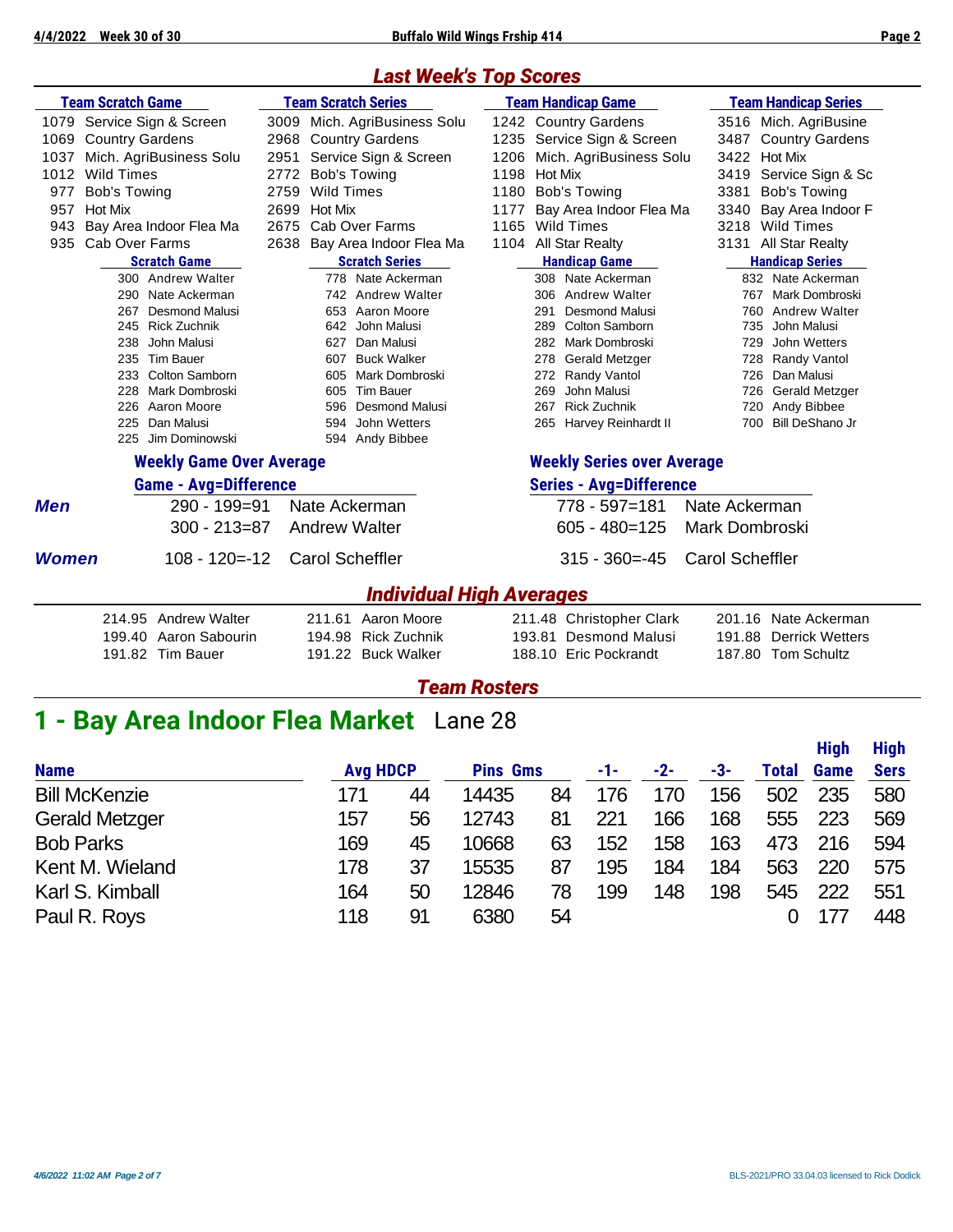#### *Last Week's Top Scores*

|              | <b>Team Scratch Game</b>        |      | <b>Team Scratch Series</b>      |      | <b>Team Handicap Game</b>         | <b>Team Handicap Series</b>      |  |  |  |
|--------------|---------------------------------|------|---------------------------------|------|-----------------------------------|----------------------------------|--|--|--|
| 1079         | Service Sign & Screen           | 3009 | Mich. AgriBusiness Solu         |      | 1242 Country Gardens              | 3516 Mich. AgriBusine            |  |  |  |
| 1069         | <b>Country Gardens</b>          | 2968 | <b>Country Gardens</b>          |      | 1235 Service Sign & Screen        | 3487<br><b>Country Gardens</b>   |  |  |  |
| 1037         | Mich. AgriBusiness Solu         | 2951 | Service Sign & Screen           |      | 1206 Mich. AgriBusiness Solu      | 3422<br><b>Hot Mix</b>           |  |  |  |
| 1012         | <b>Wild Times</b>               | 2772 | <b>Bob's Towing</b>             | 1198 | <b>Hot Mix</b>                    | 3419<br>Service Sign & Sc        |  |  |  |
| 977          | Bob's Towing                    | 2759 | <b>Wild Times</b>               | 1180 | <b>Bob's Towing</b>               | 3381<br>Bob's Towing             |  |  |  |
| 957          | <b>Hot Mix</b>                  | 2699 | Hot Mix                         | 1177 | Bay Area Indoor Flea Ma           | Bay Area Indoor F<br>3340        |  |  |  |
| 943          | Bay Area Indoor Flea Ma         | 2675 | Cab Over Farms                  |      | 1165 Wild Times                   | <b>Wild Times</b><br>3218        |  |  |  |
| 935          | Cab Over Farms                  | 2638 | Bay Area Indoor Flea Ma         |      | 1104 All Star Realty              | All Star Realty<br>3131          |  |  |  |
|              | <b>Scratch Game</b>             |      | <b>Scratch Series</b>           |      | <b>Handicap Game</b>              | <b>Handicap Series</b>           |  |  |  |
|              | 300 Andrew Walter               |      | 778 Nate Ackerman               |      | 308 Nate Ackerman                 | 832 Nate Ackerman                |  |  |  |
|              | Nate Ackerman<br>290            |      | 742 Andrew Walter               |      | 306 Andrew Walter                 | 767 Mark Dombroski               |  |  |  |
|              | <b>Desmond Malusi</b><br>267    |      | 653 Aaron Moore                 |      | <b>Desmond Malusi</b><br>291      | <b>Andrew Walter</b><br>760      |  |  |  |
|              | 245 Rick Zuchnik                |      | 642<br>John Malusi              |      | <b>Colton Samborn</b><br>289      | 735<br>John Malusi               |  |  |  |
|              | 238<br>John Malusi              |      | Dan Malusi<br>627               |      | 282<br>Mark Dombroski             | 729<br>John Wetters              |  |  |  |
|              | <b>Tim Bauer</b><br>235         |      | <b>Buck Walker</b><br>607       |      | 278<br><b>Gerald Metzger</b>      | 728 Randy Vantol                 |  |  |  |
|              | Colton Samborn<br>233           |      | 605<br>Mark Dombroski           |      | Randy Vantol<br>272               | 726 Dan Malusi                   |  |  |  |
|              | 228<br>Mark Dombroski           |      | 605<br><b>Tim Bauer</b>         |      | 269<br>John Malusi                | 726 Gerald Metzger               |  |  |  |
|              | Aaron Moore<br>226              |      | <b>Desmond Malusi</b><br>596    |      | <b>Rick Zuchnik</b><br>267        | 720 Andy Bibbee                  |  |  |  |
|              | Dan Malusi<br>225               |      | John Wetters<br>594             |      | 265 Harvey Reinhardt II           | 700 Bill DeShano Jr              |  |  |  |
|              | Jim Dominowski<br>225           |      | 594 Andy Bibbee                 |      |                                   |                                  |  |  |  |
|              | <b>Weekly Game Over Average</b> |      |                                 |      | <b>Weekly Series over Average</b> |                                  |  |  |  |
|              | <b>Game - Avg=Difference</b>    |      |                                 |      | <b>Series - Avg=Difference</b>    |                                  |  |  |  |
| <b>Men</b>   | 290 - 199=91                    |      | Nate Ackerman                   |      | 778 - 597=181                     | Nate Ackerman                    |  |  |  |
|              | $300 - 213 = 87$                |      | <b>Andrew Walter</b>            |      | $605 - 480 = 125$                 | Mark Dombroski                   |  |  |  |
| <b>Women</b> | $108 - 120 = -12$               |      | <b>Carol Scheffler</b>          |      | $315 - 360 = -45$                 | <b>Carol Scheffler</b>           |  |  |  |
|              |                                 |      | <b>Individual High Averages</b> |      |                                   |                                  |  |  |  |
|              | <b>Andrew Walter</b><br>214.95  |      | 211.61<br>Aaron Moore           |      | 211.48 Christopher Clark          | 201.16 Nate Ackerman             |  |  |  |
|              | 199.40 Aaron Sabourin           |      | <b>Rick Zuchnik</b><br>194.98   |      | <b>Desmond Malusi</b><br>193.81   | 191.88<br><b>Derrick Wetters</b> |  |  |  |
|              | 191.82 Tim Bauer                |      | 191.22 Buck Walker              |      | 188.10 Eric Pockrandt             | 187.80 Tom Schultz               |  |  |  |
|              |                                 |      |                                 |      |                                   |                                  |  |  |  |

*Team Rosters*

# **1 - Bay Area Indoor Flea Market** Lane 28

|                       |                 |    |                 |    |     |     |     |       | <b>High</b> | <b>High</b> |
|-----------------------|-----------------|----|-----------------|----|-----|-----|-----|-------|-------------|-------------|
| <b>Name</b>           | <b>Avg HDCP</b> |    | <b>Pins Gms</b> |    | -1- | -2- | -3- | Total | Game        | <b>Sers</b> |
| <b>Bill McKenzie</b>  | 171             | 44 | 14435           | 84 | 176 | 170 | 156 | 502   | 235         | 580         |
| <b>Gerald Metzger</b> | 157             | 56 | 12743           | 81 | 221 | 166 | 168 | 555   | 223         | 569         |
| <b>Bob Parks</b>      | 169             | 45 | 10668           | 63 | 152 | 158 | 163 | 473   | 216         | 594         |
| Kent M. Wieland       | 178             | 37 | 15535           | 87 | 195 | 184 | 184 | 563   | 220         | 575         |
| Karl S. Kimball       | 164             | 50 | 12846           | 78 | 199 | 148 | 198 | 545   | 222         | 551         |
| Paul R. Roys          | 118             | 91 | 6380            | 54 |     |     |     |       | 177         | 448         |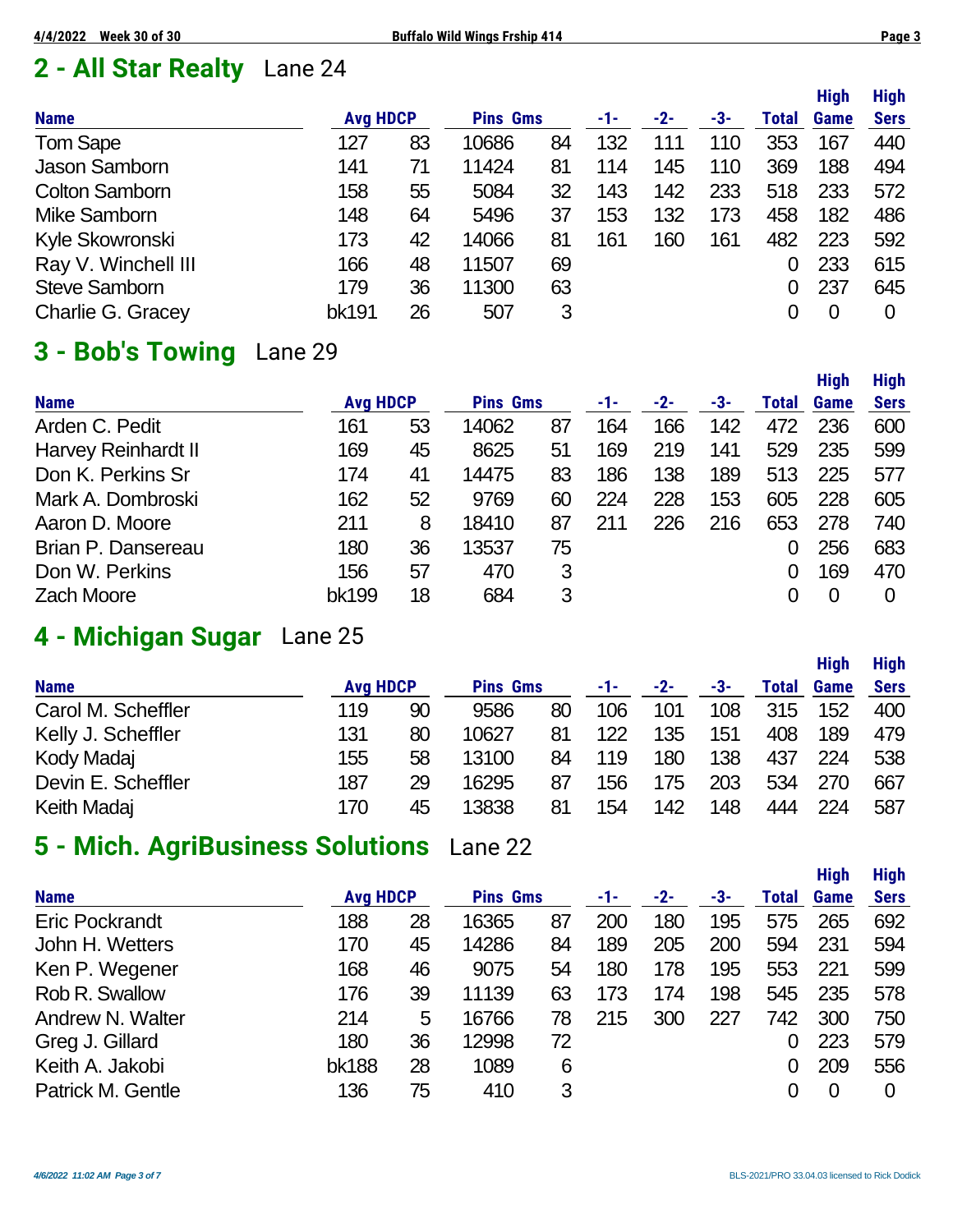# **2 - All Star Realty** Lane 24

|                       |                 |    |                 |    |     |       |     |       | <b>High</b> | <b>High</b> |
|-----------------------|-----------------|----|-----------------|----|-----|-------|-----|-------|-------------|-------------|
| <b>Name</b>           | <b>Avg HDCP</b> |    | <b>Pins Gms</b> |    | -1- | $-2-$ | -3- | Total | <b>Game</b> | <b>Sers</b> |
| <b>Tom Sape</b>       | 127             | 83 | 10686           | 84 | 132 | 111   | 110 | 353   | 167         | 440         |
| <b>Jason Samborn</b>  | 141             | 71 | 11424           | 81 | 114 | 145   | 110 | 369   | 188         | 494         |
| <b>Colton Samborn</b> | 158             | 55 | 5084            | 32 | 143 | 142   | 233 | 518   | 233         | 572         |
| Mike Samborn          | 148             | 64 | 5496            | 37 | 153 | 132   | 173 | 458   | 182         | 486         |
| Kyle Skowronski       | 173             | 42 | 14066           | 81 | 161 | 160   | 161 | 482   | 223         | 592         |
| Ray V. Winchell III   | 166             | 48 | 11507           | 69 |     |       |     | 0     | 233         | 615         |
| <b>Steve Samborn</b>  | 179             | 36 | 11300           | 63 |     |       |     | 0     | 237         | 645         |
| Charlie G. Gracey     | bk191           | 26 | 507             | 3  |     |       |     |       | 0           | 0           |

#### **3 - Bob's Towing** Lane 29

|                            |                 |    |                 |    |     |       |     |       | <b>High</b> | <b>High</b> |
|----------------------------|-----------------|----|-----------------|----|-----|-------|-----|-------|-------------|-------------|
| <b>Name</b>                | <b>Avg HDCP</b> |    | <b>Pins Gms</b> |    | -1- | $-2-$ | -3- | Total | Game        | <b>Sers</b> |
| Arden C. Pedit             | 161             | 53 | 14062           | 87 | 164 | 166   | 142 | 472   | 236         | 600         |
| <b>Harvey Reinhardt II</b> | 169             | 45 | 8625            | 51 | 169 | 219   | 141 | 529   | 235         | 599         |
| Don K. Perkins Sr          | 174             | 41 | 14475           | 83 | 186 | 138   | 189 | 513   | 225         | 577         |
| Mark A. Dombroski          | 162             | 52 | 9769            | 60 | 224 | 228   | 153 | 605   | 228         | 605         |
| Aaron D. Moore             | 211             | 8  | 18410           | 87 | 211 | 226   | 216 | 653   | 278         | 740         |
| Brian P. Dansereau         | 180             | 36 | 13537           | 75 |     |       |     |       | 256         | 683         |
| Don W. Perkins             | 156             | 57 | 470             | 3  |     |       |     |       | 169         | 470         |
| <b>Zach Moore</b>          | bk199           | 18 | 684             | 3  |     |       |     |       | 0           | 0           |

#### **4 - Michigan Sugar** Lane 25

|                    |     |                 |       |                 |     |       |     |       | <b>High</b> | <b>High</b> |
|--------------------|-----|-----------------|-------|-----------------|-----|-------|-----|-------|-------------|-------------|
| <b>Name</b>        |     | <b>Avg HDCP</b> |       | <b>Pins Gms</b> |     | $-2-$ | -3- | Total | <b>Game</b> | <b>Sers</b> |
| Carol M. Scheffler | 119 | 90              | 9586  | 80              | 106 | 101   | 108 | 315   | 152         | 400         |
| Kelly J. Scheffler | 131 | 80              | 10627 | 81              | 122 | 135   | 151 | 408   | 189         | 479         |
| Kody Madaj         | 155 | 58              | 13100 | 84              | 119 | 180   | 138 | 437   | 224         | 538         |
| Devin E. Scheffler | 187 | 29              | 16295 | 87              | 156 | 175   | 203 | 534   | 270         | 667         |
| Keith Madaj        | 170 | 45              | 13838 | 81              | 154 | 142   | 148 | 444   | 224         | 587         |

### **5 - Mich. AgriBusiness Solutions** Lane 22

|                       |                 |    |                 |    |     |       |     |              | <b>High</b> | <b>High</b> |
|-----------------------|-----------------|----|-----------------|----|-----|-------|-----|--------------|-------------|-------------|
| <b>Name</b>           | <b>Avg HDCP</b> |    | <b>Pins Gms</b> |    | -1- | $-2-$ | -3- | <b>Total</b> | <b>Game</b> | <b>Sers</b> |
| <b>Eric Pockrandt</b> | 188             | 28 | 16365           | 87 | 200 | 180   | 195 | 575          | 265         | 692         |
| John H. Wetters       | 170             | 45 | 14286           | 84 | 189 | 205   | 200 | 594          | 231         | 594         |
| Ken P. Wegener        | 168             | 46 | 9075            | 54 | 180 | 178   | 195 | 553          | 221         | 599         |
| Rob R. Swallow        | 176             | 39 | 11139           | 63 | 173 | 174   | 198 | 545          | 235         | 578         |
| Andrew N. Walter      | 214             | 5  | 16766           | 78 | 215 | 300   | 227 | 742          | 300         | 750         |
| Greg J. Gillard       | 180             | 36 | 12998           | 72 |     |       |     |              | 223         | 579         |
| Keith A. Jakobi       | <b>bk188</b>    | 28 | 1089            | 6  |     |       |     | 0            | 209         | 556         |
| Patrick M. Gentle     | 136             | 75 | 410             | 3  |     |       |     |              | 0           | 0           |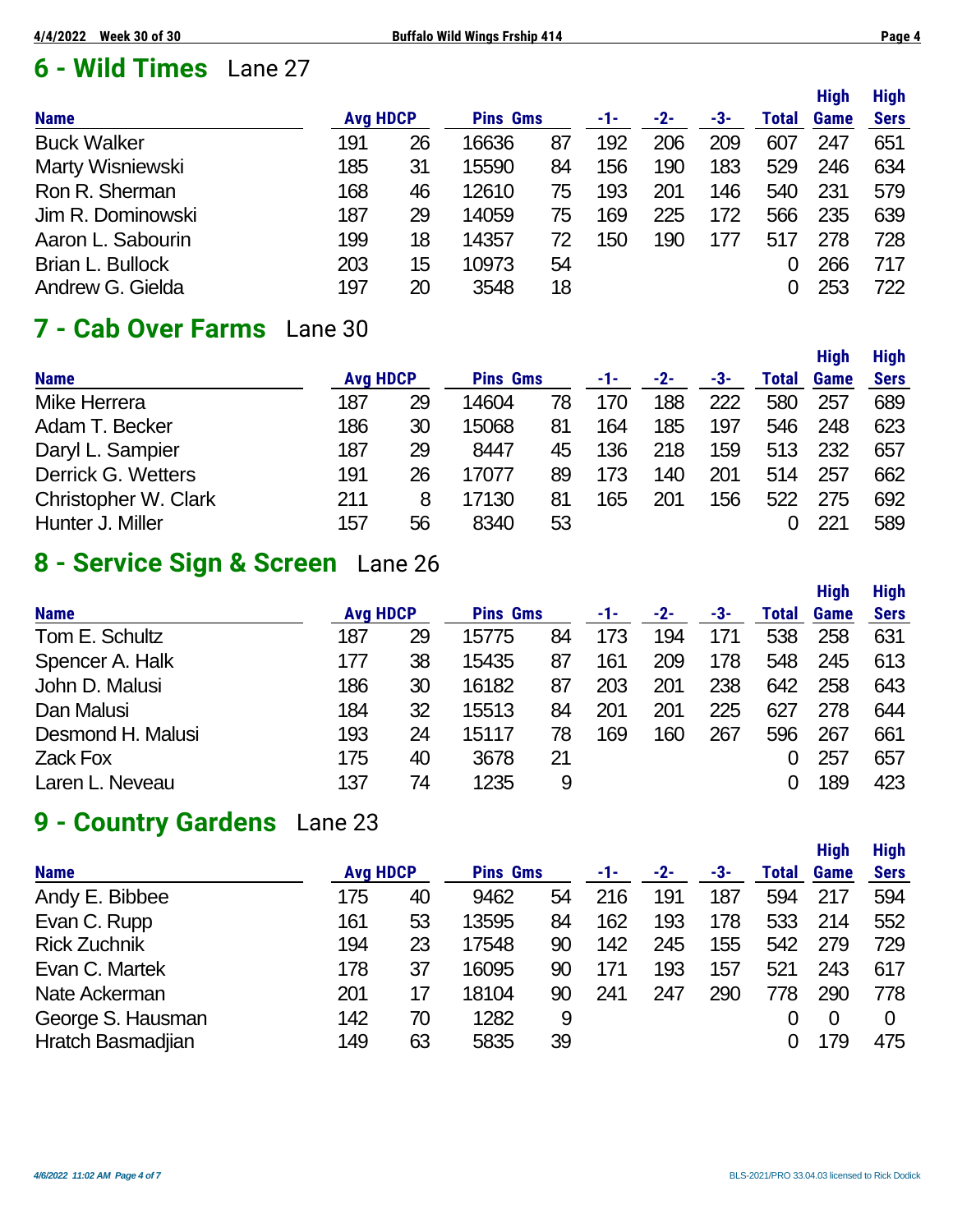## **6 - Wild Times** Lane 27

|                    |     |                 |       |                 |     |       |     |              | .    | .           |
|--------------------|-----|-----------------|-------|-----------------|-----|-------|-----|--------------|------|-------------|
| <b>Name</b>        |     | <b>Avg HDCP</b> |       | <b>Pins Gms</b> |     | $-2-$ | -3- | <b>Total</b> | Game | <b>Sers</b> |
| <b>Buck Walker</b> | 191 | 26              | 16636 | 87              | 192 | 206   | 209 | 607          | 247  | 651         |
| Marty Wisniewski   | 185 | 31              | 15590 | 84              | 156 | 190   | 183 | 529          | 246  | 634         |
| Ron R. Sherman     | 168 | 46              | 12610 | 75              | 193 | 201   | 146 | 540          | 231  | 579         |
| Jim R. Dominowski  | 187 | 29              | 14059 | 75              | 169 | 225   | 172 | 566          | 235  | 639         |
| Aaron L. Sabourin  | 199 | 18              | 14357 | 72              | 150 | 190   | 177 | 517          | 278  | 728         |
| Brian L. Bullock   | 203 | 15              | 10973 | 54              |     |       |     |              | 266  | 717         |
| Andrew G. Gielda   | 197 | 20              | 3548  | 18              |     |       |     |              | 253  | 722         |
|                    |     |                 |       |                 |     |       |     |              |      |             |

#### **7 - Cab Over Farms** Lane 30

| <b>Name</b>          | <b>Avg HDCP</b> |    | <b>Pins Gms</b> |    | -1- | $-2-$ | -3- | Total | <b>Game</b> | <b>Sers</b> |
|----------------------|-----------------|----|-----------------|----|-----|-------|-----|-------|-------------|-------------|
| Mike Herrera         | 187             | 29 | 14604           | 78 | 170 | 188   | 222 | 580   | 257         | 689         |
| Adam T. Becker       | 186             | 30 | 15068           | 81 | 164 | 185   | 197 | 546   | 248         | 623         |
| Daryl L. Sampier     | 187             | 29 | 8447            | 45 | 136 | 218   | 159 | 513   | 232         | 657         |
| Derrick G. Wetters   | 191             | 26 | 17077           | 89 | 173 | 140   | 201 | 514   | 257         | 662         |
| Christopher W. Clark | 211             | 8  | 17130           | 81 | 165 | 201   | 156 | 522   | 275         | 692         |
| Hunter J. Miller     | 157             | 56 | 8340            | 53 |     |       |     |       | 221         | 589         |
|                      |                 |    |                 |    |     |       |     |       |             |             |

#### **8 - Service Sign & Screen** Lane 26

|                   |     |                 |                 |    |     |       |     |       | <b>High</b> | <b>High</b> |
|-------------------|-----|-----------------|-----------------|----|-----|-------|-----|-------|-------------|-------------|
| <b>Name</b>       |     | <b>Avg HDCP</b> | <b>Pins Gms</b> |    | -1- | $-2-$ | -3- | Total | Game        | <b>Sers</b> |
| Tom E. Schultz    | 187 | 29              | 15775           | 84 | 173 | 194   | 171 | 538   | 258         | 631         |
| Spencer A. Halk   | 177 | 38              | 15435           | 87 | 161 | 209   | 178 | 548   | 245         | 613         |
| John D. Malusi    | 186 | 30              | 16182           | 87 | 203 | 201   | 238 | 642   | 258         | 643         |
| Dan Malusi        | 184 | 32              | 15513           | 84 | 201 | 201   | 225 | 627   | 278         | 644         |
| Desmond H. Malusi | 193 | 24              | 15117           | 78 | 169 | 160   | 267 | 596   | 267         | 661         |
| <b>Zack Fox</b>   | 175 | 40              | 3678            | 21 |     |       |     |       | 257         | 657         |
| Laren L. Neveau   | 137 | 74              | 1235            | 9  |     |       |     |       | 189         | 423         |

#### **9 - Country Gardens** Lane 23

|                     |                 |    |                 |    |     |       |     |       | <b>High</b> | <b>High</b> |
|---------------------|-----------------|----|-----------------|----|-----|-------|-----|-------|-------------|-------------|
| <b>Name</b>         | <b>Avg HDCP</b> |    | <b>Pins Gms</b> |    | -1- | $-2-$ | -3- | Total | Game        | <b>Sers</b> |
| Andy E. Bibbee      | 175             | 40 | 9462            | 54 | 216 | 191   | 187 | 594   | 217         | 594         |
| Evan C. Rupp        | 161             | 53 | 13595           | 84 | 162 | 193   | 178 | 533   | 214         | 552         |
| <b>Rick Zuchnik</b> | 194             | 23 | 17548           | 90 | 142 | 245   | 155 | 542   | 279         | 729         |
| Evan C. Martek      | 178             | 37 | 16095           | 90 | 171 | 193   | 157 | 521   | 243         | 617         |
| Nate Ackerman       | 201             | 17 | 18104           | 90 | 241 | 247   | 290 | 778   | 290         | 778         |
| George S. Hausman   | 142             | 70 | 1282            | 9  |     |       |     |       |             |             |
| Hratch Basmadjian   | 149             | 63 | 5835            | 39 |     |       |     |       | 179         | 475         |

**High High**

**High High**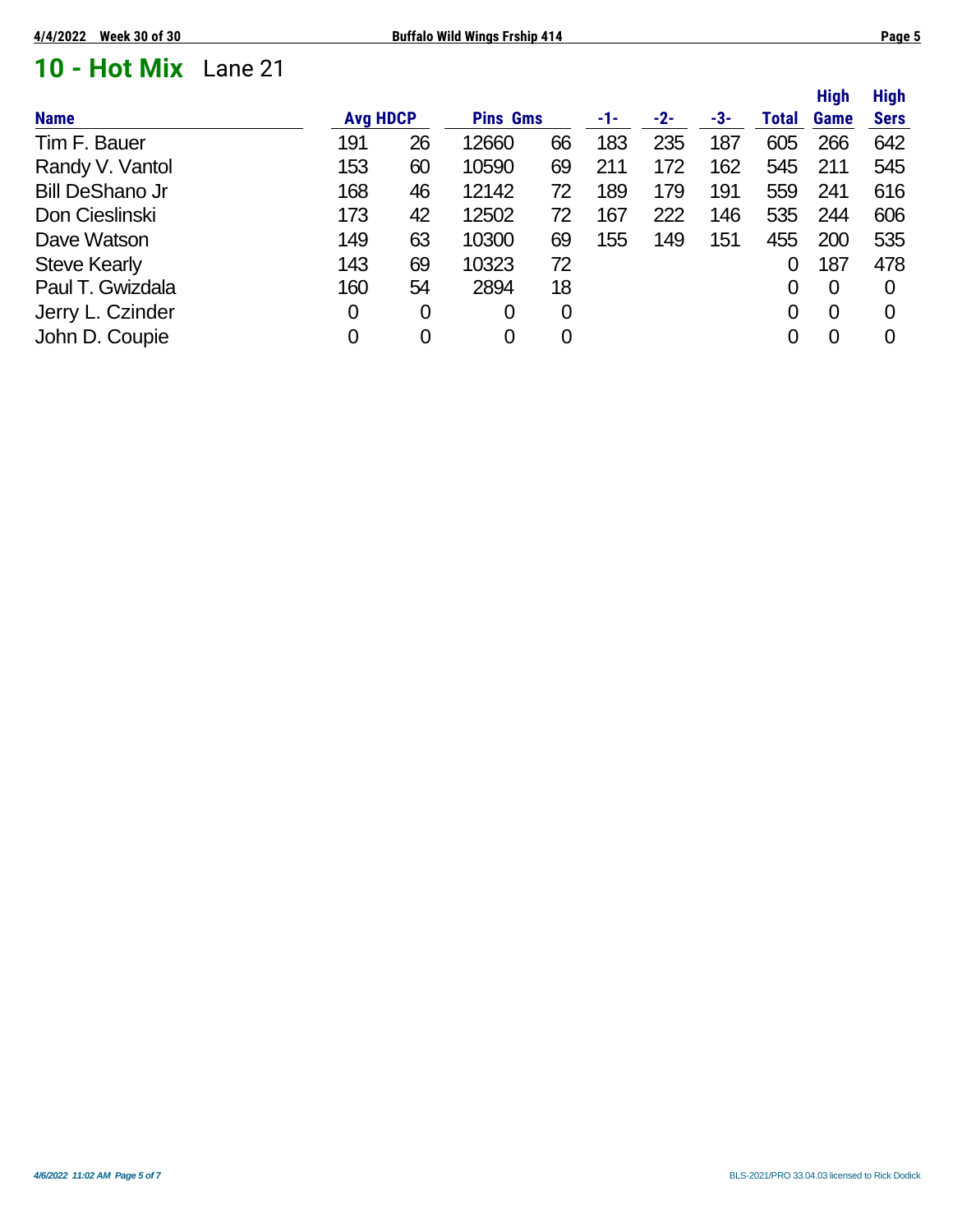### **10 - Hot Mix** Lane 21

|                        |                 |                |                 |                |     |     |     |              | <b>High</b>    | <b>High</b> |
|------------------------|-----------------|----------------|-----------------|----------------|-----|-----|-----|--------------|----------------|-------------|
| <b>Name</b>            | <b>Avg HDCP</b> |                | <b>Pins Gms</b> |                | -1- | -2- | -3- | <b>Total</b> | <b>Game</b>    | <b>Sers</b> |
| Tim F. Bauer           | 191             | 26             | 12660           | 66             | 183 | 235 | 187 | 605          | 266            | 642         |
| Randy V. Vantol        | 153             | 60             | 10590           | 69             | 211 | 172 | 162 | 545          | 211            | 545         |
| <b>Bill DeShano Jr</b> | 168             | 46             | 12142           | 72             | 189 | 179 | 191 | 559          | 241            | 616         |
| Don Cieslinski         | 173             | 42             | 12502           | 72             | 167 | 222 | 146 | 535          | 244            | 606         |
| Dave Watson            | 149             | 63             | 10300           | 69             | 155 | 149 | 151 | 455          | 200            | 535         |
| <b>Steve Kearly</b>    | 143             | 69             | 10323           | 72             |     |     |     |              | 187            | 478         |
| Paul T. Gwizdala       | 160             | 54             | 2894            | 18             |     |     |     |              | $\overline{0}$ | 0           |
| Jerry L. Czinder       | 0               | 0              | 0               | $\overline{0}$ |     |     |     | 0            | 0              | 0           |
| John D. Coupie         | 0               | $\overline{0}$ | 0               | 0              |     |     |     |              | $\overline{0}$ | 0           |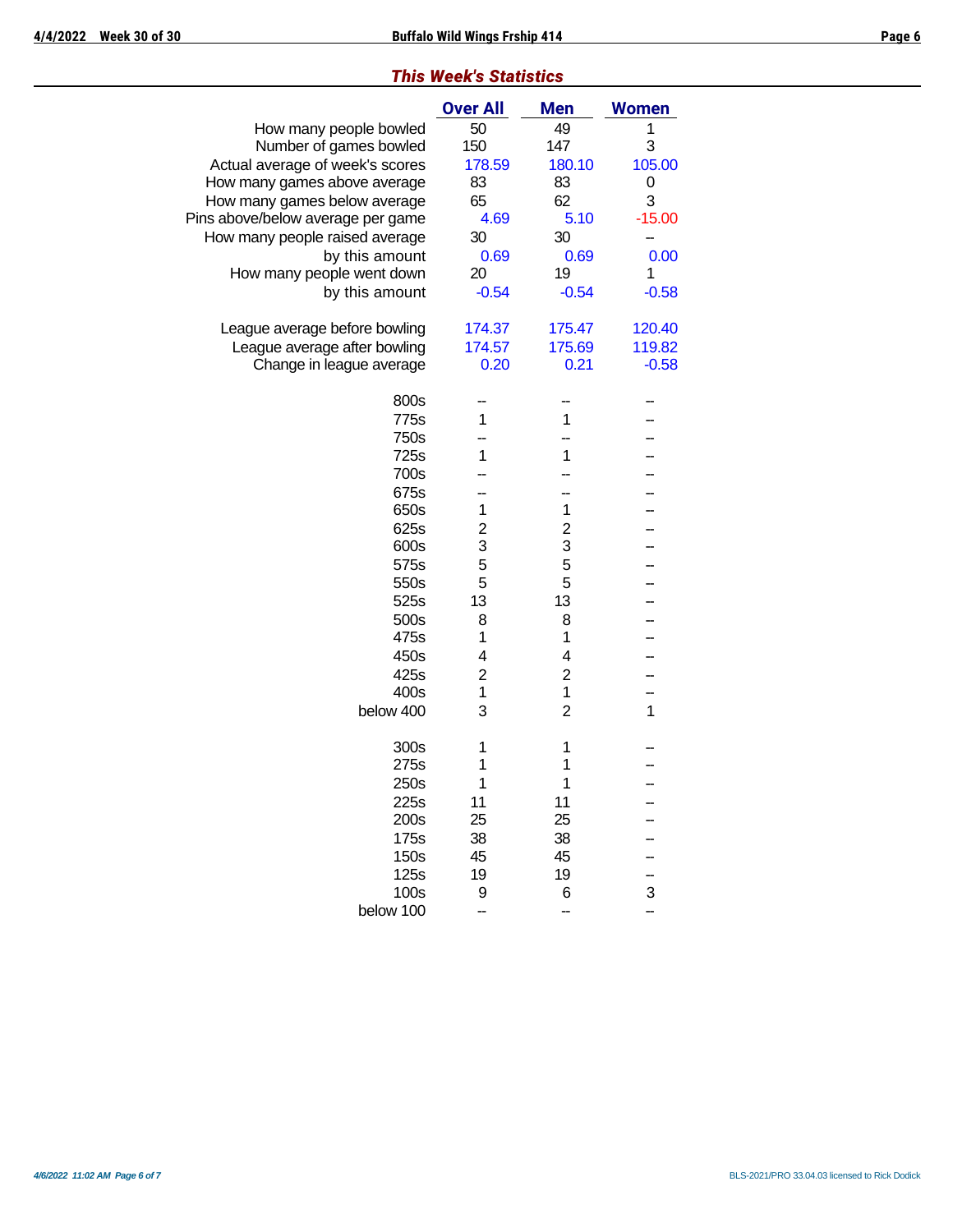|  | <b>This Week's Statistics</b> |  |
|--|-------------------------------|--|
|  |                               |  |

|                                   | <b>Over All</b> | <b>Men</b>     | <b>Women</b> |
|-----------------------------------|-----------------|----------------|--------------|
| How many people bowled            | 50              | 49             | 1            |
| Number of games bowled            | 150             | 147            | 3            |
| Actual average of week's scores   | 178.59          | 180.10         | 105.00       |
| How many games above average      | 83              | 83             | 0            |
| How many games below average      | 65              | 62             | 3            |
| Pins above/below average per game | 4.69            | 5.10           | $-15.00$     |
| How many people raised average    | 30              | 30             |              |
| by this amount                    | 0.69            | 0.69           | 0.00         |
| How many people went down         | 20              | 19             | 1            |
| by this amount                    | $-0.54$         | $-0.54$        | $-0.58$      |
| League average before bowling     | 174.37          | 175.47         | 120.40       |
| League average after bowling      | 174.57          | 175.69         | 119.82       |
| Change in league average          | 0.20            | 0.21           | $-0.58$      |
| 800s                              |                 |                |              |
| 775s                              | 1               | 1              |              |
| 750s                              |                 |                |              |
| 725s                              | 1               | 1              |              |
| 700s                              |                 |                |              |
| 675s                              |                 |                |              |
| 650s                              | 1               | 1              |              |
| 625s                              | $\overline{c}$  | 2              |              |
| 600s                              | 3               | 3              |              |
| 575s                              | 5               | 5              |              |
| 550s                              | 5               | 5              |              |
| 525s                              | 13              | 13             |              |
| 500s                              | 8               | 8              |              |
| 475s                              | 1               | 1              |              |
| 450s                              | 4               | 4              |              |
| 425s                              | $\overline{c}$  | $\overline{2}$ |              |
| 400s                              | 1               | 1              |              |
| below 400                         | 3               | $\overline{2}$ | 1            |
| 300s                              | 1               | 1              |              |
| 275s                              | 1               | 1              |              |
| 250s                              | 1               | 1              |              |
| 225s                              | 11              | 11             |              |
| 200s                              | 25              | 25             |              |
| 175s                              | 38              | 38             |              |
| 150s                              | 45              | 45             |              |
| 125s                              | 19              | 19             |              |
| 100s                              | 9               | 6              | 3            |
| below 100                         |                 |                |              |